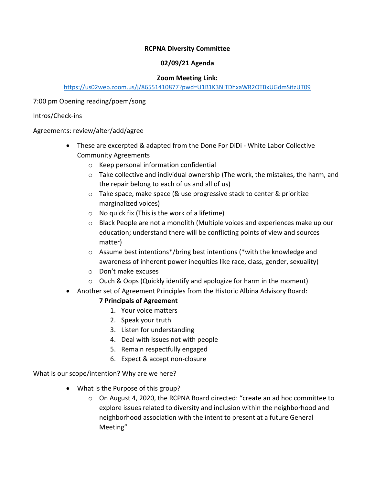## **RCPNA Diversity Committee**

### **02/09/21 Agenda**

#### **Zoom Meeting Link:**

### https://us02web.zoom.us/j/86551410877?pwd=U1B1K3NlTDhxaWR2OTBxUGdmSitzUT09

7:00 pm Opening reading/poem/song

### Intros/Check-ins

Agreements: review/alter/add/agree

- These are excerpted & adapted from the Done For DiDi White Labor Collective Community Agreements
	- o Keep personal information confidential
	- $\circ$  Take collective and individual ownership (The work, the mistakes, the harm, and the repair belong to each of us and all of us)
	- o Take space, make space (& use progressive stack to center & prioritize marginalized voices)
	- $\circ$  No quick fix (This is the work of a lifetime)
	- $\circ$  Black People are not a monolith (Multiple voices and experiences make up our education; understand there will be conflicting points of view and sources matter)
	- o Assume best intentions\*/bring best intentions (\*with the knowledge and awareness of inherent power inequities like race, class, gender, sexuality)
	- o Don't make excuses
	- o Ouch & Oops (Quickly identify and apologize for harm in the moment)
- Another set of Agreement Principles from the Historic Albina Advisory Board:

# **7 Principals of Agreement**

- 1. Your voice matters
- 2. Speak your truth
- 3. Listen for understanding
- 4. Deal with issues not with people
- 5. Remain respectfully engaged
- 6. Expect & accept non-closure

What is our scope/intention? Why are we here?

- What is the Purpose of this group?
	- $\circ$  On August 4, 2020, the RCPNA Board directed: "create an ad hoc committee to explore issues related to diversity and inclusion within the neighborhood and neighborhood association with the intent to present at a future General Meeting"